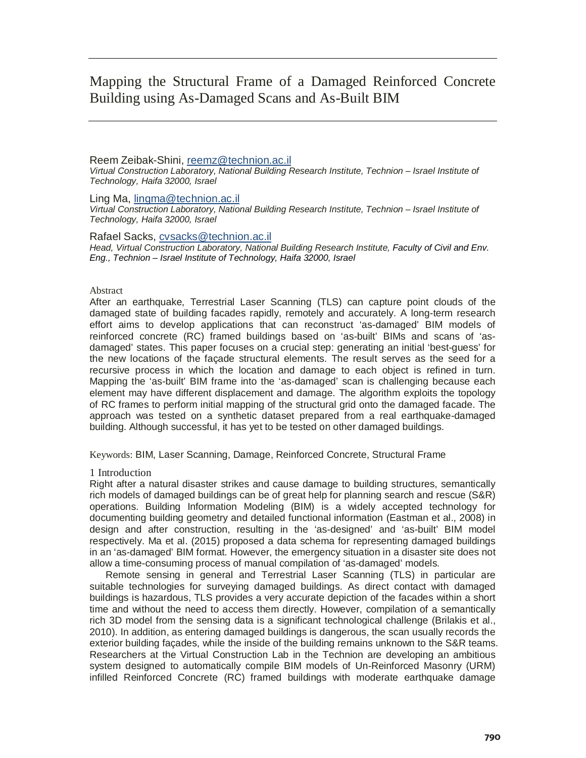# Mapping the Structural Frame of a Damaged Reinforced Concrete Building using As-Damaged Scans and As-Built BIM

## Reem Zeibak-Shini, reemz@technion.ac.il *Virtual Construction Laboratory, National Building Research Institute, Technion – Israel Institute of Technology, Haifa 32000, Israel*

Ling Ma, lingma@technion.ac.il *Virtual Construction Laboratory, National Building Research Institute, Technion – Israel Institute of Technology, Haifa 32000, Israel*

# Rafael Sacks, cvsacks@technion.ac.il

*Head, Virtual Construction Laboratory, National Building Research Institute, Faculty of Civil and Env. Eng., Technion – Israel Institute of Technology, Haifa 32000, Israel*

## Abstract

After an earthquake, Terrestrial Laser Scanning (TLS) can capture point clouds of the damaged state of building facades rapidly, remotely and accurately. A long-term research effort aims to develop applications that can reconstruct 'as-damaged' BIM models of reinforced concrete (RC) framed buildings based on 'as-built' BIMs and scans of 'asdamaged' states. This paper focuses on a crucial step: generating an initial 'best-guess' for the new locations of the façade structural elements. The result serves as the seed for a recursive process in which the location and damage to each object is refined in turn. Mapping the 'as-built' BIM frame into the 'as-damaged' scan is challenging because each element may have different displacement and damage. The algorithm exploits the topology of RC frames to perform initial mapping of the structural grid onto the damaged facade. The approach was tested on a synthetic dataset prepared from a real earthquake-damaged building. Although successful, it has yet to be tested on other damaged buildings.

Keywords: BIM, Laser Scanning, Damage, Reinforced Concrete, Structural Frame

# 1 Introduction

Right after a natural disaster strikes and cause damage to building structures, semantically rich models of damaged buildings can be of great help for planning search and rescue (S&R) operations. Building Information Modeling (BIM) is a widely accepted technology for documenting building geometry and detailed functional information (Eastman et al., 2008) in design and after construction, resulting in the 'as-designed' and 'as-built' BIM model respectively. Ma et al. (2015) proposed a data schema for representing damaged buildings in an 'as-damaged' BIM format. However, the emergency situation in a disaster site does not allow a time-consuming process of manual compilation of 'as-damaged' models.

Remote sensing in general and Terrestrial Laser Scanning (TLS) in particular are suitable technologies for surveying damaged buildings. As direct contact with damaged buildings is hazardous, TLS provides a very accurate depiction of the facades within a short time and without the need to access them directly. However, compilation of a semantically rich 3D model from the sensing data is a significant technological challenge (Brilakis et al., 2010). In addition, as entering damaged buildings is dangerous, the scan usually records the exterior building façades, while the inside of the building remains unknown to the S&R teams. Researchers at the Virtual Construction Lab in the Technion are developing an ambitious system designed to automatically compile BIM models of Un-Reinforced Masonry (URM) infilled Reinforced Concrete (RC) framed buildings with moderate earthquake damage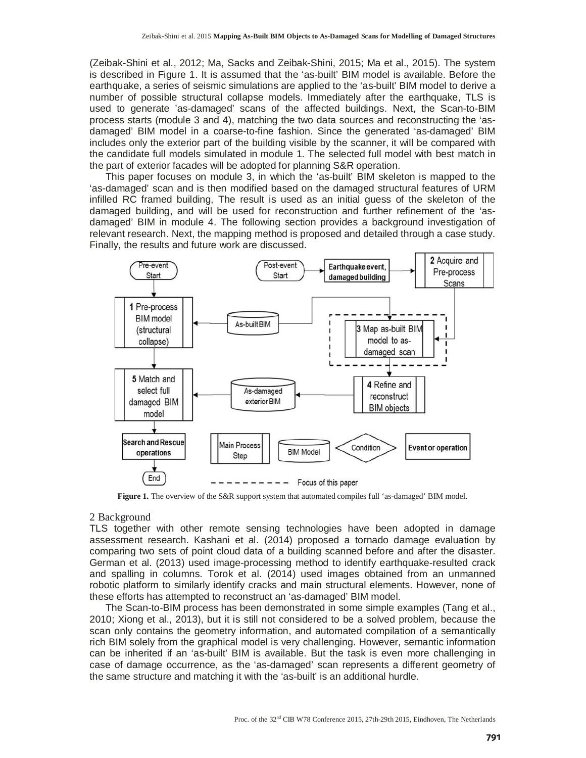(Zeibak-Shini et al., 2012; Ma, Sacks and Zeibak-Shini, 2015; Ma et al., 2015). The system is described in Figure 1. It is assumed that the 'as-built' BIM model is available. Before the earthquake, a series of seismic simulations are applied to the 'as-built' BIM model to derive a number of possible structural collapse models. Immediately after the earthquake, TLS is used to generate 'as-damaged' scans of the affected buildings. Next, the Scan-to-BIM process starts (module 3 and 4), matching the two data sources and reconstructing the 'asdamaged' BIM model in a coarse-to-fine fashion. Since the generated 'as-damaged' BIM includes only the exterior part of the building visible by the scanner, it will be compared with the candidate full models simulated in module 1. The selected full model with best match in the part of exterior facades will be adopted for planning S&R operation.

This paper focuses on module 3, in which the 'as-built' BIM skeleton is mapped to the 'as-damaged' scan and is then modified based on the damaged structural features of URM infilled RC framed building, The result is used as an initial guess of the skeleton of the damaged building, and will be used for reconstruction and further refinement of the 'asdamaged' BIM in module 4. The following section provides a background investigation of relevant research. Next, the mapping method is proposed and detailed through a case study. Finally, the results and future work are discussed.



**Figure 1.** The overview of the S&R support system that automated compiles full 'as-damaged' BIM model.

#### 2 Background

TLS together with other remote sensing technologies have been adopted in damage assessment research. Kashani et al. (2014) proposed a tornado damage evaluation by comparing two sets of point cloud data of a building scanned before and after the disaster. German et al. (2013) used image-processing method to identify earthquake-resulted crack and spalling in columns. Torok et al. (2014) used images obtained from an unmanned robotic platform to similarly identify cracks and main structural elements. However, none of these efforts has attempted to reconstruct an 'as-damaged' BIM model.

The Scan-to-BIM process has been demonstrated in some simple examples (Tang et al., 2010; Xiong et al., 2013), but it is still not considered to be a solved problem, because the scan only contains the geometry information, and automated compilation of a semantically rich BIM solely from the graphical model is very challenging. However, semantic information can be inherited if an 'as-built' BIM is available. But the task is even more challenging in case of damage occurrence, as the 'as-damaged' scan represents a different geometry of the same structure and matching it with the 'as-built' is an additional hurdle.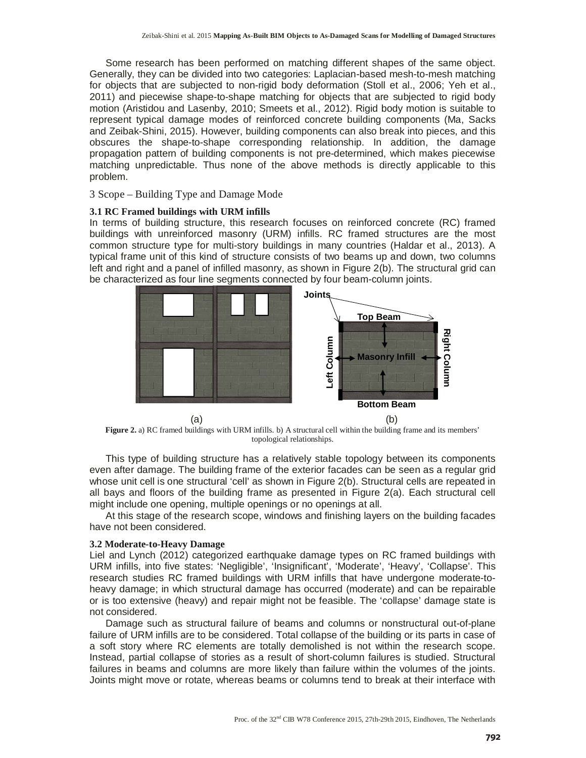Some research has been performed on matching different shapes of the same object. Generally, they can be divided into two categories: Laplacian-based mesh-to-mesh matching for objects that are subjected to non-rigid body deformation (Stoll et al., 2006; Yeh et al., 2011) and piecewise shape-to-shape matching for objects that are subjected to rigid body motion (Aristidou and Lasenby, 2010; Smeets et al., 2012). Rigid body motion is suitable to represent typical damage modes of reinforced concrete building components (Ma, Sacks and Zeibak-Shini, 2015). However, building components can also break into pieces, and this obscures the shape-to-shape corresponding relationship. In addition, the damage propagation pattern of building components is not pre-determined, which makes piecewise matching unpredictable. Thus none of the above methods is directly applicable to this problem.

3 Scope – Building Type and Damage Mode

# **3.1 RC Framed buildings with URM infills**

In terms of building structure, this research focuses on reinforced concrete (RC) framed buildings with unreinforced masonry (URM) infills. RC framed structures are the most common structure type for multi-story buildings in many countries (Haldar et al., 2013). A typical frame unit of this kind of structure consists of two beams up and down, two columns left and right and a panel of infilled masonry, as shown in Figure 2(b). The structural grid can be characterized as four line segments connected by four beam-column joints.



**Figure 2.** a) RC framed buildings with URM infills. b) A structural cell within the building frame and its members' topological relationships.

This type of building structure has a relatively stable topology between its components even after damage. The building frame of the exterior facades can be seen as a regular grid whose unit cell is one structural 'cell' as shown in Figure 2(b). Structural cells are repeated in all bays and floors of the building frame as presented in Figure 2(a). Each structural cell might include one opening, multiple openings or no openings at all.

At this stage of the research scope, windows and finishing layers on the building facades have not been considered.

# **3.2 Moderate-to-Heavy Damage**

Liel and Lynch (2012) categorized earthquake damage types on RC framed buildings with URM infills, into five states: 'Negligible', 'Insignificant', 'Moderate', 'Heavy', 'Collapse'. This research studies RC framed buildings with URM infills that have undergone moderate-toheavy damage; in which structural damage has occurred (moderate) and can be repairable or is too extensive (heavy) and repair might not be feasible. The 'collapse' damage state is not considered.

Damage such as structural failure of beams and columns or nonstructural out-of-plane failure of URM infills are to be considered. Total collapse of the building or its parts in case of a soft story where RC elements are totally demolished is not within the research scope. Instead, partial collapse of stories as a result of short-column failures is studied. Structural failures in beams and columns are more likely than failure within the volumes of the joints. Joints might move or rotate, whereas beams or columns tend to break at their interface with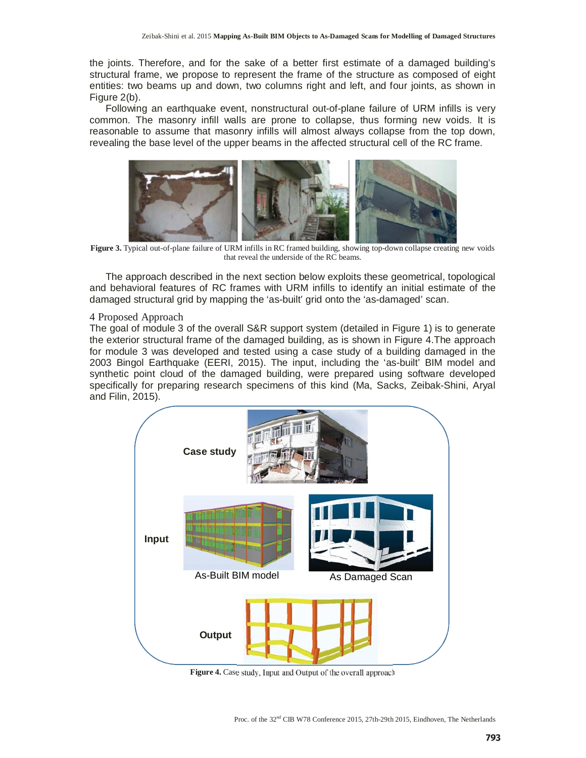the joints. Therefore, and for the sake of a better first estimate of a damaged building's structural frame, we propose to represent the frame of the structure as composed of eight entities: two beams up and down, two columns right and left, and four joints, as shown in Figure 2(b).

Following an earthquake event, nonstructural out-of-plane failure of URM infills is very common. The masonry infill walls are prone to collapse, thus forming new voids. It is reasonable to assume that masonry infills will almost always collapse from the top down, revealing the base level of the upper beams in the affected structural cell of the RC frame.



**Figure 3.** Typical out-of-plane failure of URM infills in RC framed building, showing top-down collapse creating new voids that reveal the underside of the RC beams.

The approach described in the next section below exploits these geometrical, topological and behavioral features of RC frames with URM infills to identify an initial estimate of the damaged structural grid by mapping the 'as-built' grid onto the 'as-damaged' scan.

#### 4 Proposed Approach

The goal of module 3 of the overall S&R support system (detailed in Figure 1) is to generate the exterior structural frame of the damaged building, as is shown in Figure 4.The approach for module 3 was developed and tested using a case study of a building damaged in the 2003 Bingol Earthquake (EERI, 2015). The input, including the 'as-built' BIM model and synthetic point cloud of the damaged building, were prepared using software developed specifically for preparing research specimens of this kind (Ma, Sacks, Zeibak-Shini, Aryal and Filin, 2015).



**Figure 4.** Case study, Input and Output of the overall approach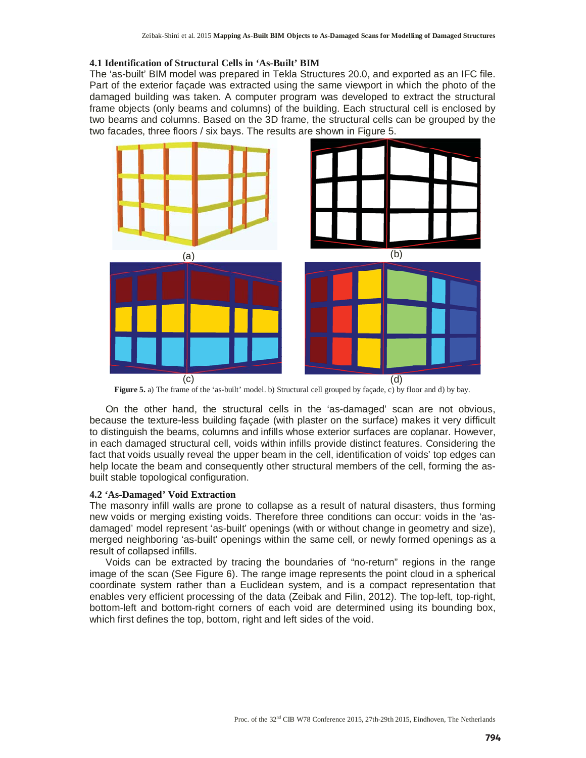#### **4.1 Identification of Structural Cells in 'As-Built' BIM**

The 'as-built' BIM model was prepared in Tekla Structures 20.0, and exported as an IFC file. Part of the exterior façade was extracted using the same viewport in which the photo of the damaged building was taken. A computer program was developed to extract the structural frame objects (only beams and columns) of the building. Each structural cell is enclosed by two beams and columns. Based on the 3D frame, the structural cells can be grouped by the two facades, three floors / six bays. The results are shown in Figure 5.



**Figure 5.** a) The frame of the 'as-built' model. b) Structural cell grouped by façade, c) by floor and d) by bay.

On the other hand, the structural cells in the 'as-damaged' scan are not obvious, because the texture-less building façade (with plaster on the surface) makes it very difficult to distinguish the beams, columns and infills whose exterior surfaces are coplanar. However, in each damaged structural cell, voids within infills provide distinct features. Considering the fact that voids usually reveal the upper beam in the cell, identification of voids' top edges can help locate the beam and consequently other structural members of the cell, forming the asbuilt stable topological configuration.

## **4.2 'As-Damaged' Void Extraction**

The masonry infill walls are prone to collapse as a result of natural disasters, thus forming new voids or merging existing voids. Therefore three conditions can occur: voids in the 'asdamaged' model represent 'as-built' openings (with or without change in geometry and size), merged neighboring 'as-built' openings within the same cell, or newly formed openings as a result of collapsed infills.

Voids can be extracted by tracing the boundaries of "no-return" regions in the range image of the scan (See Figure 6). The range image represents the point cloud in a spherical coordinate system rather than a Euclidean system, and is a compact representation that enables very efficient processing of the data (Zeibak and Filin, 2012). The top-left, top-right, bottom-left and bottom-right corners of each void are determined using its bounding box, which first defines the top, bottom, right and left sides of the void.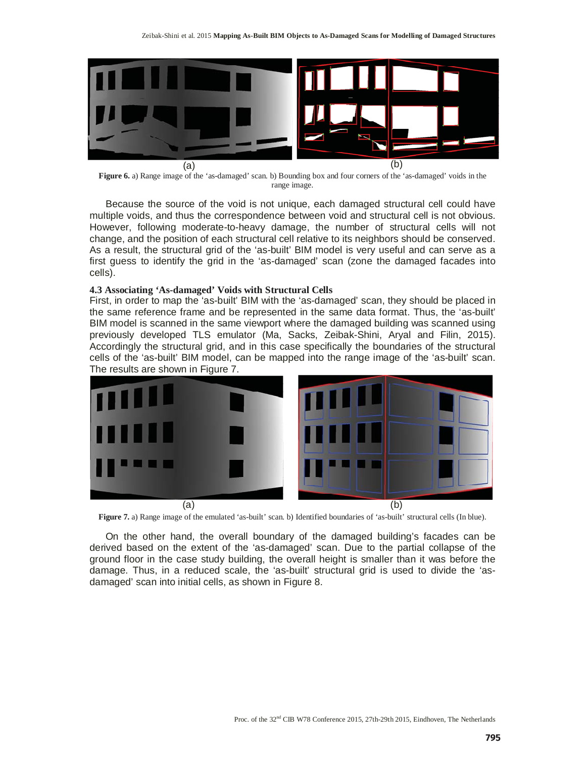

**Figure 6.** a) Range image of the 'as-damaged' scan. b) Bounding box and four corners of the 'as-damaged' voids in the range image.

Because the source of the void is not unique, each damaged structural cell could have multiple voids, and thus the correspondence between void and structural cell is not obvious. However, following moderate-to-heavy damage, the number of structural cells will not change, and the position of each structural cell relative to its neighbors should be conserved. As a result, the structural grid of the 'as-built' BIM model is very useful and can serve as a first guess to identify the grid in the 'as-damaged' scan (zone the damaged facades into cells).

#### **4.3 Associating 'As-damaged' Voids with Structural Cells**

First, in order to map the 'as-built' BIM with the 'as-damaged' scan, they should be placed in the same reference frame and be represented in the same data format. Thus, the 'as-built' BIM model is scanned in the same viewport where the damaged building was scanned using previously developed TLS emulator (Ma, Sacks, Zeibak-Shini, Aryal and Filin, 2015). Accordingly the structural grid, and in this case specifically the boundaries of the structural cells of the 'as-built' BIM model, can be mapped into the range image of the 'as-built' scan. The results are shown in Figure 7.



Figure 7. a) Range image of the emulated 'as-built' scan. b) Identified boundaries of 'as-built' structural cells (In blue).

On the other hand, the overall boundary of the damaged building's facades can be derived based on the extent of the 'as-damaged' scan. Due to the partial collapse of the ground floor in the case study building, the overall height is smaller than it was before the damage. Thus, in a reduced scale, the 'as-built' structural grid is used to divide the 'asdamaged' scan into initial cells, as shown in Figure 8.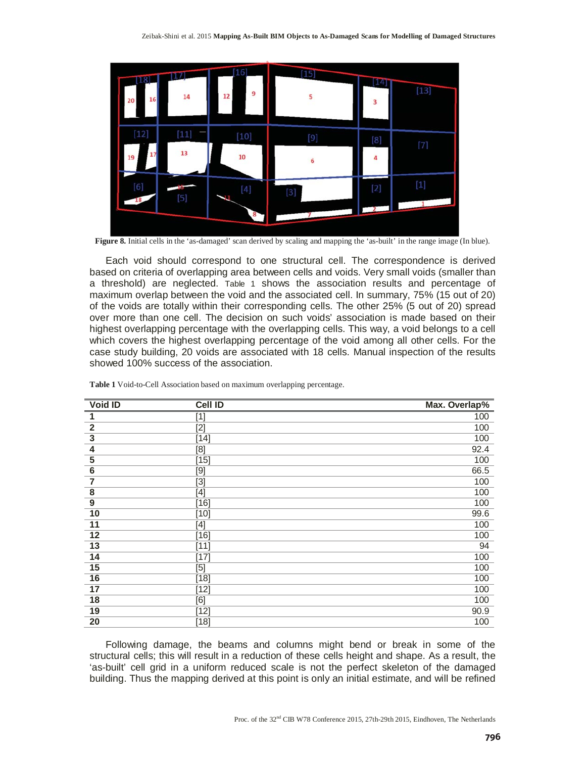

**Figure 8.** Initial cells in the 'as-damaged' scan derived by scaling and mapping the 'as-built' in the range image (In blue).

Each void should correspond to one structural cell. The correspondence is derived based on criteria of overlapping area between cells and voids. Very small voids (smaller than a threshold) are neglected. Table 1 shows the association results and percentage of maximum overlap between the void and the associated cell. In summary, 75% (15 out of 20) of the voids are totally within their corresponding cells. The other 25% (5 out of 20) spread over more than one cell. The decision on such voids' association is made based on their highest overlapping percentage with the overlapping cells. This way, a void belongs to a cell which covers the highest overlapping percentage of the void among all other cells. For the case study building, 20 voids are associated with 18 cells. Manual inspection of the results showed 100% success of the association.

| Void ID                 | <b>Cell ID</b>                                                                             | Max. Overlap% |
|-------------------------|--------------------------------------------------------------------------------------------|---------------|
| 1                       | $[1]$                                                                                      | 100           |
| $\overline{\mathbf{2}}$ | $[2]$                                                                                      | 100           |
| $\overline{\mathbf{3}}$ | $[14]$                                                                                     | 100           |
| 4                       | [8]                                                                                        | 92.4          |
| $\overline{5}$          | $[15]$                                                                                     | 100           |
| $\overline{6}$          | $\overline{[9]}$                                                                           | 66.5          |
| $\overline{7}$          | $[3]$                                                                                      | 100           |
| $\overline{\mathbf{8}}$ | $[4] % \includegraphics[width=0.9\columnwidth]{figures/fig_4} \caption{A=}\label{fig:2} %$ | 100           |
| $\overline{9}$          | $[16]$                                                                                     | 100           |
| 10                      | [10]                                                                                       | 99.6          |
| 11                      | $[4] % \includegraphics[width=0.9\columnwidth]{figures/fig_4} \caption{A=}\label{fig:2} %$ | 100           |
| $\overline{12}$         | [16]                                                                                       | 100           |
| $\overline{13}$         | [11]                                                                                       | 94            |
| 14                      | [17]                                                                                       | 100           |
| $\overline{15}$         | $\overline{[5]}$                                                                           | 100           |
| 16                      | [18]                                                                                       | 100           |
| 17                      | $[12]$                                                                                     | 100           |
| 18                      | [6]                                                                                        | 100           |
| 19                      | $[12]$                                                                                     | 90.9          |
| 20                      | $[18]$                                                                                     | 100           |

**Table 1** Void-to-Cell Association based on maximum overlapping percentage.

Following damage, the beams and columns might bend or break in some of the structural cells; this will result in a reduction of these cells height and shape. As a result, the 'as-built' cell grid in a uniform reduced scale is not the perfect skeleton of the damaged building. Thus the mapping derived at this point is only an initial estimate, and will be refined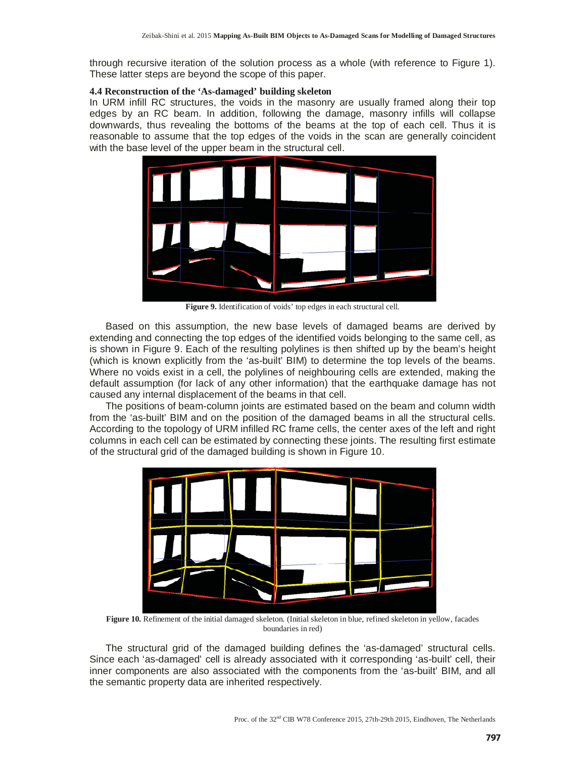through recursive iteration of the solution process as a whole (with reference to Figure 1). These latter steps are beyond the scope of this paper.

# **4.4 Reconstruction of the 'As-damaged' building skeleton**

In URM infill RC structures, the voids in the masonry are usually framed along their top edges by an RC beam. In addition, following the damage, masonry infills will collapse downwards, thus revealing the bottoms of the beams at the top of each cell. Thus it is reasonable to assume that the top edges of the voids in the scan are generally coincident with the base level of the upper beam in the structural cell.



**Figure 9.** Identification of voids' top edges in each structural cell.

Based on this assumption, the new base levels of damaged beams are derived by extending and connecting the top edges of the identified voids belonging to the same cell, as is shown in Figure 9. Each of the resulting polylines is then shifted up by the beam's height (which is known explicitly from the 'as-built' BIM) to determine the top levels of the beams. Where no voids exist in a cell, the polylines of neighbouring cells are extended, making the default assumption (for lack of any other information) that the earthquake damage has not caused any internal displacement of the beams in that cell.

The positions of beam-column joints are estimated based on the beam and column width from the 'as-built' BIM and on the position of the damaged beams in all the structural cells. According to the topology of URM infilled RC frame cells, the center axes of the left and right columns in each cell can be estimated by connecting these joints. The resulting first estimate of the structural grid of the damaged building is shown in Figure 10.



**Figure 10.** Refinement of the initial damaged skeleton. (Initial skeleton in blue, refined skeleton in yellow, facades boundaries in red)

The structural grid of the damaged building defines the 'as-damaged' structural cells. Since each 'as-damaged' cell is already associated with it corresponding 'as-built' cell, their inner components are also associated with the components from the 'as-built' BIM, and all the semantic property data are inherited respectively.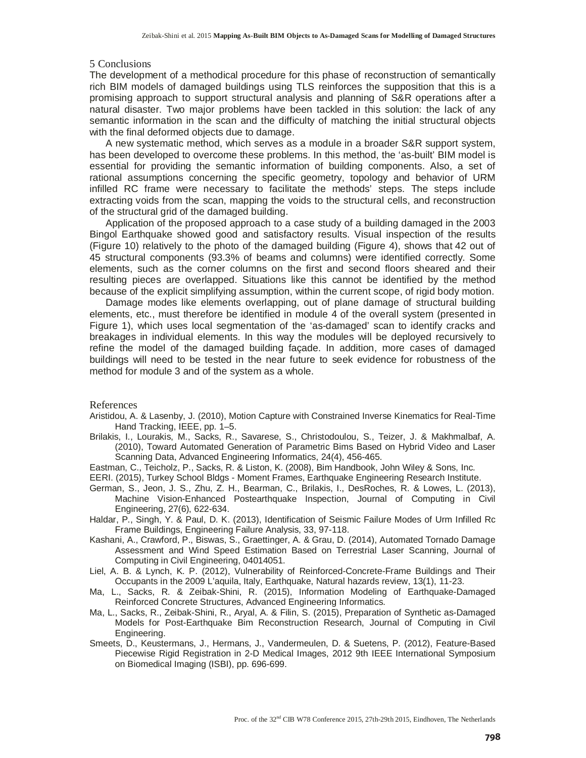## 5 Conclusions

The development of a methodical procedure for this phase of reconstruction of semantically rich BIM models of damaged buildings using TLS reinforces the supposition that this is a promising approach to support structural analysis and planning of S&R operations after a natural disaster. Two major problems have been tackled in this solution: the lack of any semantic information in the scan and the difficulty of matching the initial structural objects with the final deformed objects due to damage.

A new systematic method, which serves as a module in a broader S&R support system, has been developed to overcome these problems. In this method, the 'as-built' BIM model is essential for providing the semantic information of building components. Also, a set of rational assumptions concerning the specific geometry, topology and behavior of URM infilled RC frame were necessary to facilitate the methods' steps. The steps include extracting voids from the scan, mapping the voids to the structural cells, and reconstruction of the structural grid of the damaged building.

Application of the proposed approach to a case study of a building damaged in the 2003 Bingol Earthquake showed good and satisfactory results. Visual inspection of the results (Figure 10) relatively to the photo of the damaged building (Figure 4), shows that 42 out of 45 structural components (93.3% of beams and columns) were identified correctly. Some elements, such as the corner columns on the first and second floors sheared and their resulting pieces are overlapped. Situations like this cannot be identified by the method because of the explicit simplifying assumption, within the current scope, of rigid body motion.

Damage modes like elements overlapping, out of plane damage of structural building elements, etc., must therefore be identified in module 4 of the overall system (presented in Figure 1), which uses local segmentation of the 'as-damaged' scan to identify cracks and breakages in individual elements. In this way the modules will be deployed recursively to refine the model of the damaged building façade. In addition, more cases of damaged buildings will need to be tested in the near future to seek evidence for robustness of the method for module 3 and of the system as a whole.

#### References

- Aristidou, A. & Lasenby, J. (2010), Motion Capture with Constrained Inverse Kinematics for Real-Time Hand Tracking, IEEE, pp. 1–5.
- Brilakis, I., Lourakis, M., Sacks, R., Savarese, S., Christodoulou, S., Teizer, J. & Makhmalbaf, A. (2010), Toward Automated Generation of Parametric Bims Based on Hybrid Video and Laser Scanning Data, Advanced Engineering Informatics, 24(4), 456-465.
- Eastman, C., Teicholz, P., Sacks, R. & Liston, K. (2008), Bim Handbook, John Wiley & Sons, Inc.
- EERI. (2015), Turkey School Bldgs Moment Frames, Earthquake Engineering Research Institute.
- German, S., Jeon, J. S., Zhu, Z. H., Bearman, C., Brilakis, I., DesRoches, R. & Lowes, L. (2013), Machine Vision-Enhanced Postearthquake Inspection, Journal of Computing in Civil Engineering, 27(6), 622-634.
- Haldar, P., Singh, Y. & Paul, D. K. (2013), Identification of Seismic Failure Modes of Urm Infilled Rc Frame Buildings, Engineering Failure Analysis, 33, 97-118.
- Kashani, A., Crawford, P., Biswas, S., Graettinger, A. & Grau, D. (2014), Automated Tornado Damage Assessment and Wind Speed Estimation Based on Terrestrial Laser Scanning, Journal of Computing in Civil Engineering, 04014051.
- Liel, A. B. & Lynch, K. P. (2012), Vulnerability of Reinforced-Concrete-Frame Buildings and Their Occupants in the 2009 L'aquila, Italy, Earthquake, Natural hazards review, 13(1), 11-23.
- Ma, L., Sacks, R. & Zeibak-Shini, R. (2015), Information Modeling of Earthquake-Damaged Reinforced Concrete Structures, Advanced Engineering Informatics.
- Ma, L., Sacks, R., Zeibak-Shini, R., Aryal, A. & Filin, S. (2015), Preparation of Synthetic as-Damaged Models for Post-Earthquake Bim Reconstruction Research, Journal of Computing in Civil Engineering.
- Smeets, D., Keustermans, J., Hermans, J., Vandermeulen, D. & Suetens, P. (2012), Feature-Based Piecewise Rigid Registration in 2-D Medical Images, 2012 9th IEEE International Symposium on Biomedical Imaging (ISBI), pp. 696-699.